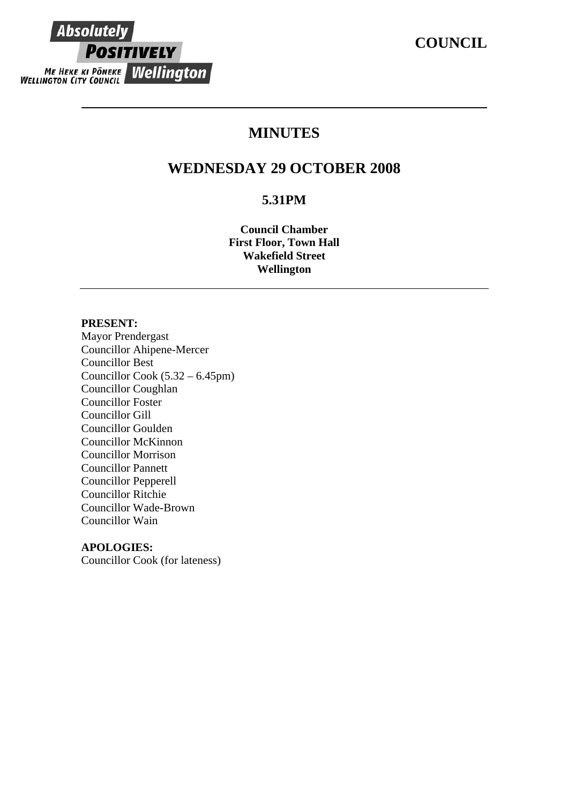# **MINUTES**

## **WEDNESDAY 29 OCTOBER 2008**

## **5.31PM**

**Council Chamber First Floor, Town Hall Wakefield Street Wellington** 

#### **PRESENT:**

**Absolutely** 

**POSITIVELY** 

ME HEKE KI PÖNEKE WELLINGTON

Mayor Prendergast Councillor Ahipene-Mercer Councillor Best Councillor Cook (5.32 – 6.45pm) Councillor Coughlan Councillor Foster Councillor Gill Councillor Goulden Councillor McKinnon Councillor Morrison Councillor Pannett Councillor Pepperell Councillor Ritchie Councillor Wade-Brown Councillor Wain

#### **APOLOGIES:**

Councillor Cook (for lateness)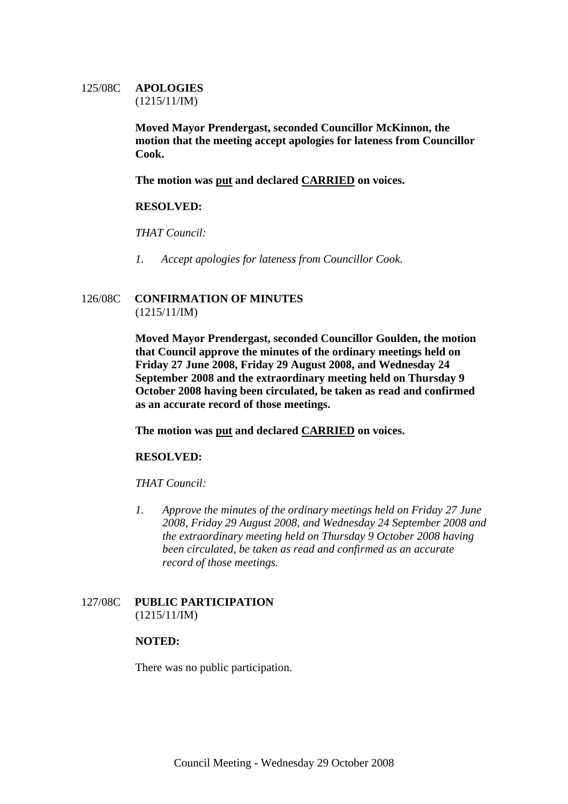#### 125/08C **APOLOGIES** (1215/11/IM)

**Moved Mayor Prendergast, seconded Councillor McKinnon, the motion that the meeting accept apologies for lateness from Councillor Cook.** 

**The motion was put and declared CARRIED on voices.**

#### **RESOLVED:**

*THAT Council:* 

*1. Accept apologies for lateness from Councillor Cook.* 

#### 126/08C **CONFIRMATION OF MINUTES** (1215/11/IM)

**Moved Mayor Prendergast, seconded Councillor Goulden, the motion that Council approve the minutes of the ordinary meetings held on Friday 27 June 2008, Friday 29 August 2008, and Wednesday 24 September 2008 and the extraordinary meeting held on Thursday 9 October 2008 having been circulated, be taken as read and confirmed as an accurate record of those meetings.** 

**The motion was put and declared CARRIED on voices.** 

#### **RESOLVED:**

*THAT Council:* 

*1. Approve the minutes of the ordinary meetings held on Friday 27 June 2008, Friday 29 August 2008, and Wednesday 24 September 2008 and the extraordinary meeting held on Thursday 9 October 2008 having been circulated, be taken as read and confirmed as an accurate record of those meetings.* 

#### 127/08C **PUBLIC PARTICIPATION** (1215/11/IM)

#### **NOTED:**

There was no public participation.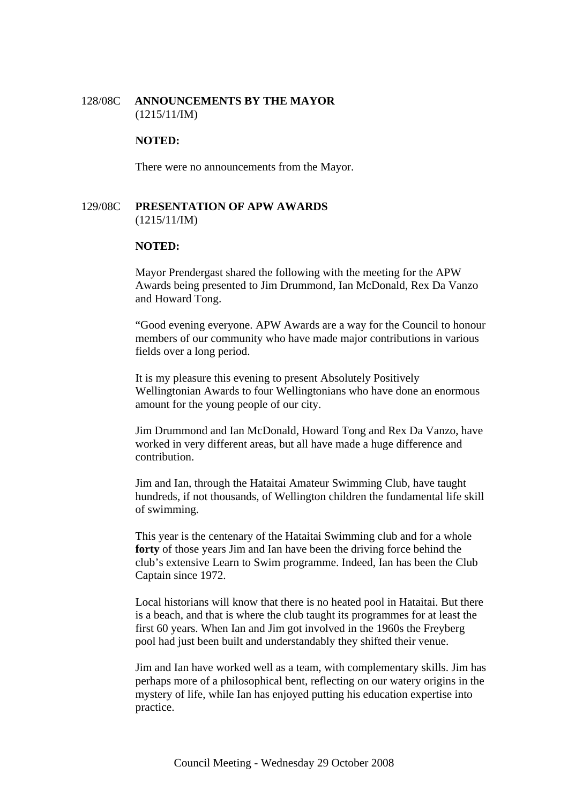#### 128/08C **ANNOUNCEMENTS BY THE MAYOR** (1215/11/IM)

#### **NOTED:**

There were no announcements from the Mayor.

#### 129/08C **PRESENTATION OF APW AWARDS**  (1215/11/IM)

#### **NOTED:**

Mayor Prendergast shared the following with the meeting for the APW Awards being presented to Jim Drummond, Ian McDonald, Rex Da Vanzo and Howard Tong.

"Good evening everyone. APW Awards are a way for the Council to honour members of our community who have made major contributions in various fields over a long period.

It is my pleasure this evening to present Absolutely Positively Wellingtonian Awards to four Wellingtonians who have done an enormous amount for the young people of our city.

Jim Drummond and Ian McDonald, Howard Tong and Rex Da Vanzo, have worked in very different areas, but all have made a huge difference and contribution.

Jim and Ian, through the Hataitai Amateur Swimming Club, have taught hundreds, if not thousands, of Wellington children the fundamental life skill of swimming.

This year is the centenary of the Hataitai Swimming club and for a whole **forty** of those years Jim and Ian have been the driving force behind the club's extensive Learn to Swim programme. Indeed, Ian has been the Club Captain since 1972.

Local historians will know that there is no heated pool in Hataitai. But there is a beach, and that is where the club taught its programmes for at least the first 60 years. When Ian and Jim got involved in the 1960s the Freyberg pool had just been built and understandably they shifted their venue.

Jim and Ian have worked well as a team, with complementary skills. Jim has perhaps more of a philosophical bent, reflecting on our watery origins in the mystery of life, while Ian has enjoyed putting his education expertise into practice.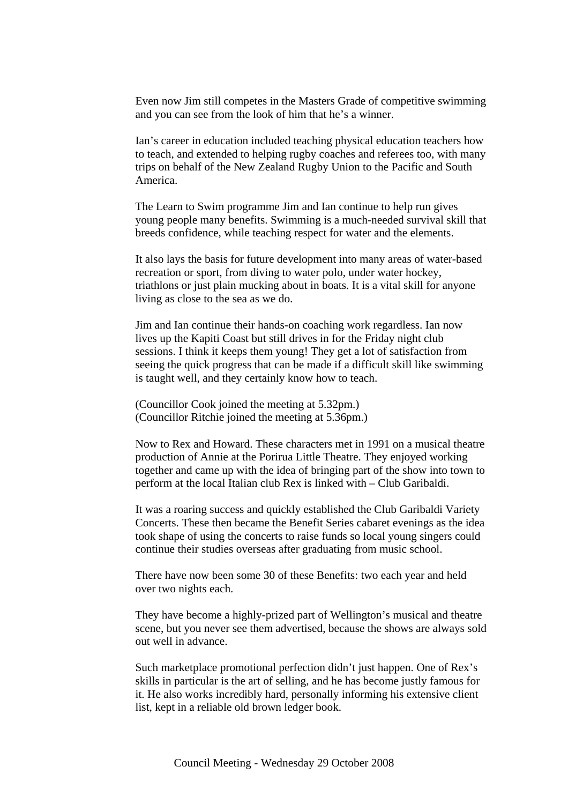Even now Jim still competes in the Masters Grade of competitive swimming and you can see from the look of him that he's a winner.

Ian's career in education included teaching physical education teachers how to teach, and extended to helping rugby coaches and referees too, with many trips on behalf of the New Zealand Rugby Union to the Pacific and South America.

The Learn to Swim programme Jim and Ian continue to help run gives young people many benefits. Swimming is a much-needed survival skill that breeds confidence, while teaching respect for water and the elements.

It also lays the basis for future development into many areas of water-based recreation or sport, from diving to water polo, under water hockey, triathlons or just plain mucking about in boats. It is a vital skill for anyone living as close to the sea as we do.

Jim and Ian continue their hands-on coaching work regardless. Ian now lives up the Kapiti Coast but still drives in for the Friday night club sessions. I think it keeps them young! They get a lot of satisfaction from seeing the quick progress that can be made if a difficult skill like swimming is taught well, and they certainly know how to teach.

(Councillor Cook joined the meeting at 5.32pm.) (Councillor Ritchie joined the meeting at 5.36pm.)

Now to Rex and Howard. These characters met in 1991 on a musical theatre production of Annie at the Porirua Little Theatre. They enjoyed working together and came up with the idea of bringing part of the show into town to perform at the local Italian club Rex is linked with – Club Garibaldi.

It was a roaring success and quickly established the Club Garibaldi Variety Concerts. These then became the Benefit Series cabaret evenings as the idea took shape of using the concerts to raise funds so local young singers could continue their studies overseas after graduating from music school.

There have now been some 30 of these Benefits: two each year and held over two nights each.

They have become a highly-prized part of Wellington's musical and theatre scene, but you never see them advertised, because the shows are always sold out well in advance.

Such marketplace promotional perfection didn't just happen. One of Rex's skills in particular is the art of selling, and he has become justly famous for it. He also works incredibly hard, personally informing his extensive client list, kept in a reliable old brown ledger book.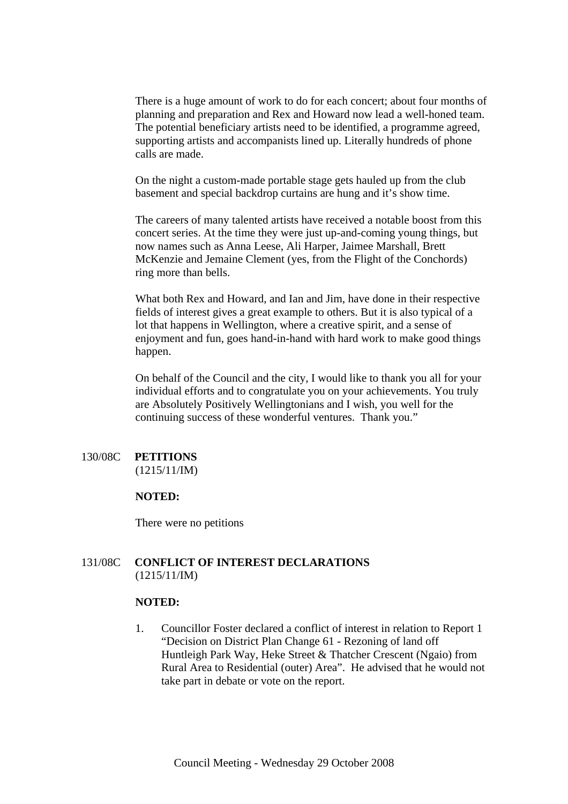There is a huge amount of work to do for each concert; about four months of planning and preparation and Rex and Howard now lead a well-honed team. The potential beneficiary artists need to be identified, a programme agreed, supporting artists and accompanists lined up. Literally hundreds of phone calls are made.

On the night a custom-made portable stage gets hauled up from the club basement and special backdrop curtains are hung and it's show time.

The careers of many talented artists have received a notable boost from this concert series. At the time they were just up-and-coming young things, but now names such as Anna Leese, Ali Harper, Jaimee Marshall, Brett McKenzie and Jemaine Clement (yes, from the Flight of the Conchords) ring more than bells.

What both Rex and Howard, and Ian and Jim, have done in their respective fields of interest gives a great example to others. But it is also typical of a lot that happens in Wellington, where a creative spirit, and a sense of enjoyment and fun, goes hand-in-hand with hard work to make good things happen.

On behalf of the Council and the city, I would like to thank you all for your individual efforts and to congratulate you on your achievements. You truly are Absolutely Positively Wellingtonians and I wish, you well for the continuing success of these wonderful ventures. Thank you."

## 130/08C **PETITIONS**

(1215/11/IM)

#### **NOTED:**

There were no petitions

#### 131/08C **CONFLICT OF INTEREST DECLARATIONS** (1215/11/IM)

#### **NOTED:**

1. Councillor Foster declared a conflict of interest in relation to Report 1 "Decision on District Plan Change 61 - Rezoning of land off Huntleigh Park Way, Heke Street & Thatcher Crescent (Ngaio) from Rural Area to Residential (outer) Area". He advised that he would not take part in debate or vote on the report.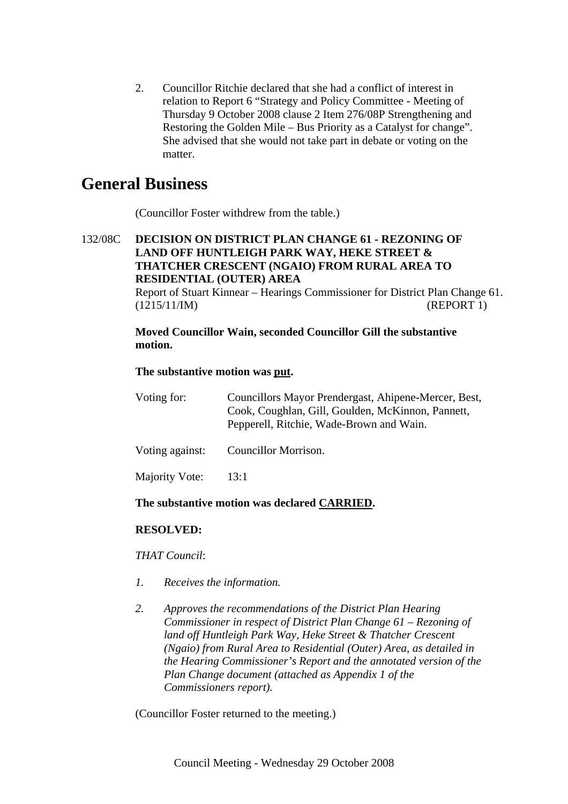2. Councillor Ritchie declared that she had a conflict of interest in relation to Report 6 "Strategy and Policy Committee - Meeting of Thursday 9 October 2008 clause 2 Item 276/08P Strengthening and Restoring the Golden Mile – Bus Priority as a Catalyst for change". She advised that she would not take part in debate or voting on the matter.

## **General Business**

(Councillor Foster withdrew from the table.)

## 132/08C **DECISION ON DISTRICT PLAN CHANGE 61 - REZONING OF LAND OFF HUNTLEIGH PARK WAY, HEKE STREET & THATCHER CRESCENT (NGAIO) FROM RURAL AREA TO RESIDENTIAL (OUTER) AREA**

Report of Stuart Kinnear – Hearings Commissioner for District Plan Change 61. (1215/11/IM) (REPORT 1)

## **Moved Councillor Wain, seconded Councillor Gill the substantive motion.**

## **The substantive motion was put.**

| Voting for:     | Councillors Mayor Prendergast, Ahipene-Mercer, Best,<br>Cook, Coughlan, Gill, Goulden, McKinnon, Pannett,<br>Pepperell, Ritchie, Wade-Brown and Wain. |
|-----------------|-------------------------------------------------------------------------------------------------------------------------------------------------------|
| Voting against: | Councillor Morrison.                                                                                                                                  |

## **The substantive motion was declared CARRIED.**

## **RESOLVED:**

Majority Vote: 13:1

*THAT Council*:

- *1. Receives the information.*
- *2. Approves the recommendations of the District Plan Hearing Commissioner in respect of District Plan Change 61 – Rezoning of land off Huntleigh Park Way, Heke Street & Thatcher Crescent (Ngaio) from Rural Area to Residential (Outer) Area*, *as detailed in the Hearing Commissioner's Report and the annotated version of the Plan Change document (attached as Appendix 1 of the Commissioners report).*

(Councillor Foster returned to the meeting.)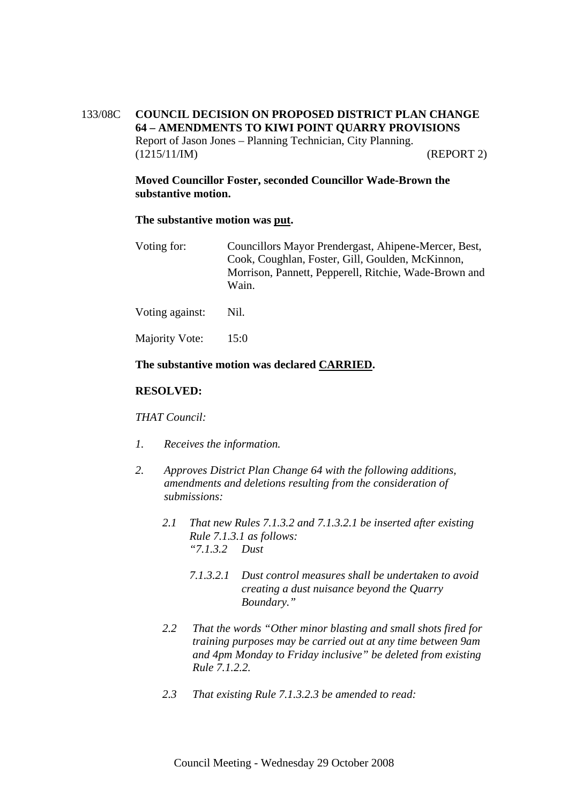## 133/08C **COUNCIL DECISION ON PROPOSED DISTRICT PLAN CHANGE 64 – AMENDMENTS TO KIWI POINT QUARRY PROVISIONS** Report of Jason Jones – Planning Technician, City Planning. (1215/11/IM) (REPORT 2)

### **Moved Councillor Foster, seconded Councillor Wade-Brown the substantive motion.**

#### **The substantive motion was put.**

| Voting for: | Councillors Mayor Prendergast, Ahipene-Mercer, Best,  |
|-------------|-------------------------------------------------------|
|             | Cook, Coughlan, Foster, Gill, Goulden, McKinnon,      |
|             | Morrison, Pannett, Pepperell, Ritchie, Wade-Brown and |
|             | Wain.                                                 |
|             |                                                       |

Voting against: Nil.

Majority Vote: 15:0

#### **The substantive motion was declared CARRIED.**

#### **RESOLVED:**

#### *THAT Council:*

- *1. Receives the information.*
- *2. Approves District Plan Change 64 with the following additions, amendments and deletions resulting from the consideration of submissions:* 
	- *2.1 That new Rules 7.1.3.2 and 7.1.3.2.1 be inserted after existing Rule 7.1.3.1 as follows: "7.1.3.2 Dust* 
		- *7.1.3.2.1 Dust control measures shall be undertaken to avoid creating a dust nuisance beyond the Quarry Boundary."*
	- *2.2 That the words "Other minor blasting and small shots fired for training purposes may be carried out at any time between 9am and 4pm Monday to Friday inclusive" be deleted from existing Rule 7.1.2.2.*
	- *2.3 That existing Rule 7.1.3.2.3 be amended to read:*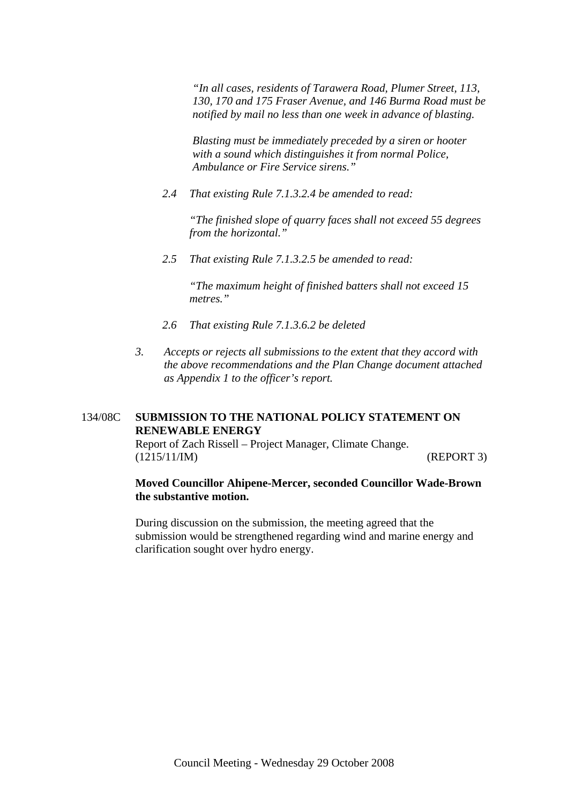*"In all cases, residents of Tarawera Road, Plumer Street, 113, 130, 170 and 175 Fraser Avenue, and 146 Burma Road must be notified by mail no less than one week in advance of blasting.* 

*Blasting must be immediately preceded by a siren or hooter with a sound which distinguishes it from normal Police, Ambulance or Fire Service sirens."* 

*2.4 That existing Rule 7.1.3.2.4 be amended to read:* 

*"The finished slope of quarry faces shall not exceed 55 degrees from the horizontal."* 

*2.5 That existing Rule 7.1.3.2.5 be amended to read:* 

*"The maximum height of finished batters shall not exceed 15 metres."* 

- *2.6 That existing Rule 7.1.3.6.2 be deleted*
- *3. Accepts or rejects all submissions to the extent that they accord with the above recommendations and the Plan Change document attached as Appendix 1 to the officer's report.*

## 134/08C **SUBMISSION TO THE NATIONAL POLICY STATEMENT ON RENEWABLE ENERGY**

Report of Zach Rissell – Project Manager, Climate Change. (1215/11/IM) (REPORT 3)

#### **Moved Councillor Ahipene-Mercer, seconded Councillor Wade-Brown the substantive motion.**

During discussion on the submission, the meeting agreed that the submission would be strengthened regarding wind and marine energy and clarification sought over hydro energy.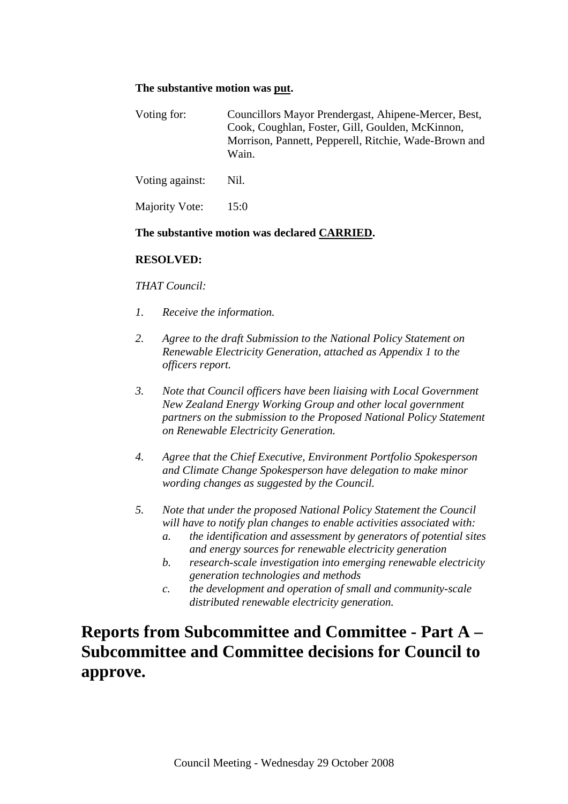## **The substantive motion was put.**

| Voting for:     | Councillors Mayor Prendergast, Ahipene-Mercer, Best,<br>Cook, Coughlan, Foster, Gill, Goulden, McKinnon,<br>Morrison, Pannett, Pepperell, Ritchie, Wade-Brown and<br>Wain. |
|-----------------|----------------------------------------------------------------------------------------------------------------------------------------------------------------------------|
| Voting against: | Nil.                                                                                                                                                                       |

Majority Vote: 15:0

#### **The substantive motion was declared CARRIED.**

#### **RESOLVED:**

*THAT Council:* 

- *1. Receive the information.*
- *2. Agree to the draft Submission to the National Policy Statement on Renewable Electricity Generation, attached as Appendix 1 to the officers report.*
- *3. Note that Council officers have been liaising with Local Government New Zealand Energy Working Group and other local government partners on the submission to the Proposed National Policy Statement on Renewable Electricity Generation.*
- *4. Agree that the Chief Executive, Environment Portfolio Spokesperson and Climate Change Spokesperson have delegation to make minor wording changes as suggested by the Council.*
- *5. Note that under the proposed National Policy Statement the Council will have to notify plan changes to enable activities associated with:* 
	- *a. the identification and assessment by generators of potential sites and energy sources for renewable electricity generation*
	- *b. research-scale investigation into emerging renewable electricity generation technologies and methods*
	- *c. the development and operation of small and community-scale distributed renewable electricity generation.*

# **Reports from Subcommittee and Committee - Part A – Subcommittee and Committee decisions for Council to approve.**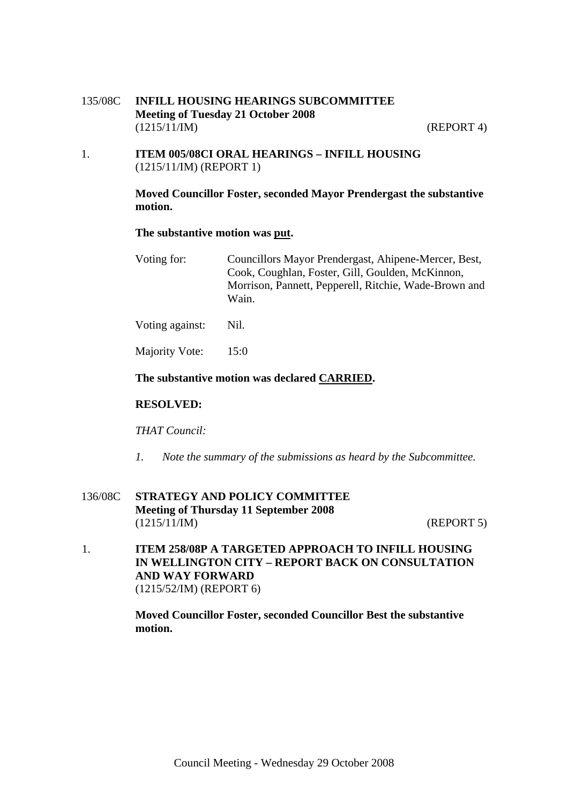135/08C **INFILL HOUSING HEARINGS SUBCOMMITTEE Meeting of Tuesday 21 October 2008**  (1215/11/IM) (REPORT 4)

1. **ITEM 005/08CI ORAL HEARINGS – INFILL HOUSING** (1215/11/IM) (REPORT 1)

#### **Moved Councillor Foster, seconded Mayor Prendergast the substantive motion.**

#### **The substantive motion was put.**

Voting for: Councillors Mayor Prendergast, Ahipene-Mercer, Best, Cook, Coughlan, Foster, Gill, Goulden, McKinnon, Morrison, Pannett, Pepperell, Ritchie, Wade-Brown and Wain.

Voting against: Nil.

Majority Vote: 15:0

#### **The substantive motion was declared CARRIED.**

#### **RESOLVED:**

#### *THAT Council:*

*1. Note the summary of the submissions as heard by the Subcommittee.* 

## 136/08C **STRATEGY AND POLICY COMMITTEE Meeting of Thursday 11 September 2008**  (1215/11/IM) (REPORT 5)

1. **ITEM 258/08P A TARGETED APPROACH TO INFILL HOUSING IN WELLINGTON CITY – REPORT BACK ON CONSULTATION AND WAY FORWARD**  (1215/52/IM) (REPORT 6)

> **Moved Councillor Foster, seconded Councillor Best the substantive motion.**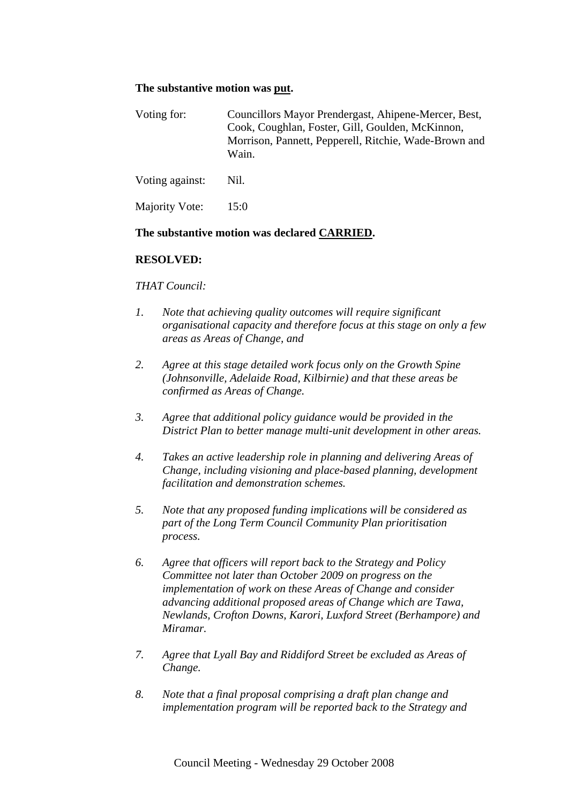#### **The substantive motion was put.**

| Voting for:     | Councillors Mayor Prendergast, Ahipene-Mercer, Best,<br>Cook, Coughlan, Foster, Gill, Goulden, McKinnon,<br>Morrison, Pannett, Pepperell, Ritchie, Wade-Brown and<br>Wain. |
|-----------------|----------------------------------------------------------------------------------------------------------------------------------------------------------------------------|
| Voting against: | Nil.                                                                                                                                                                       |

Majority Vote: 15:0

#### **The substantive motion was declared CARRIED.**

#### **RESOLVED:**

#### *THAT Council:*

- *1. Note that achieving quality outcomes will require significant organisational capacity and therefore focus at this stage on only a few areas as Areas of Change, and*
- *2. Agree at this stage detailed work focus only on the Growth Spine (Johnsonville, Adelaide Road, Kilbirnie) and that these areas be confirmed as Areas of Change.*
- *3. Agree that additional policy guidance would be provided in the District Plan to better manage multi-unit development in other areas.*
- *4. Takes an active leadership role in planning and delivering Areas of Change, including visioning and place-based planning, development facilitation and demonstration schemes.*
- *5. Note that any proposed funding implications will be considered as part of the Long Term Council Community Plan prioritisation process.*
- *6. Agree that officers will report back to the Strategy and Policy Committee not later than October 2009 on progress on the implementation of work on these Areas of Change and consider advancing additional proposed areas of Change which are Tawa, Newlands, Crofton Downs, Karori, Luxford Street (Berhampore) and Miramar.*
- *7. Agree that Lyall Bay and Riddiford Street be excluded as Areas of Change.*
- *8. Note that a final proposal comprising a draft plan change and implementation program will be reported back to the Strategy and*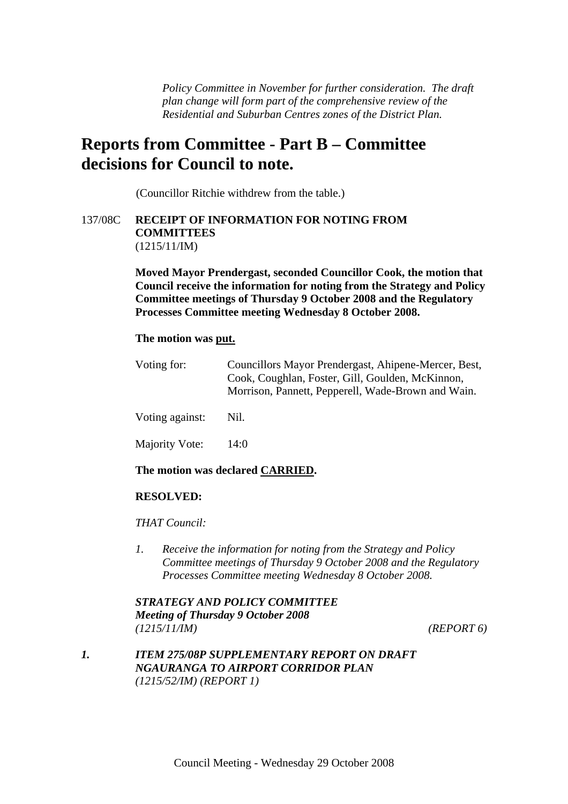*Policy Committee in November for further consideration. The draft plan change will form part of the comprehensive review of the Residential and Suburban Centres zones of the District Plan.* 

# **Reports from Committee - Part B – Committee decisions for Council to note.**

(Councillor Ritchie withdrew from the table.)

#### 137/08C **RECEIPT OF INFORMATION FOR NOTING FROM COMMITTEES**  (1215/11/IM)

**Moved Mayor Prendergast, seconded Councillor Cook, the motion that Council receive the information for noting from the Strategy and Policy Committee meetings of Thursday 9 October 2008 and the Regulatory Processes Committee meeting Wednesday 8 October 2008.** 

#### **The motion was put.**

| Voting for:     | Councillors Mayor Prendergast, Ahipene-Mercer, Best,<br>Cook, Coughlan, Foster, Gill, Goulden, McKinnon,<br>Morrison, Pannett, Pepperell, Wade-Brown and Wain. |  |
|-----------------|----------------------------------------------------------------------------------------------------------------------------------------------------------------|--|
| Voting against: | Nil.                                                                                                                                                           |  |
| Majority Vote:  | 14:0                                                                                                                                                           |  |

#### **The motion was declared CARRIED.**

#### **RESOLVED:**

*THAT Council:* 

*1. Receive the information for noting from the Strategy and Policy Committee meetings of Thursday 9 October 2008 and the Regulatory Processes Committee meeting Wednesday 8 October 2008.* 

*STRATEGY AND POLICY COMMITTEE Meeting of Thursday 9 October 2008 (1215/11/IM) (REPORT 6)* 

*1. ITEM 275/08P SUPPLEMENTARY REPORT ON DRAFT NGAURANGA TO AIRPORT CORRIDOR PLAN (1215/52/IM) (REPORT 1)*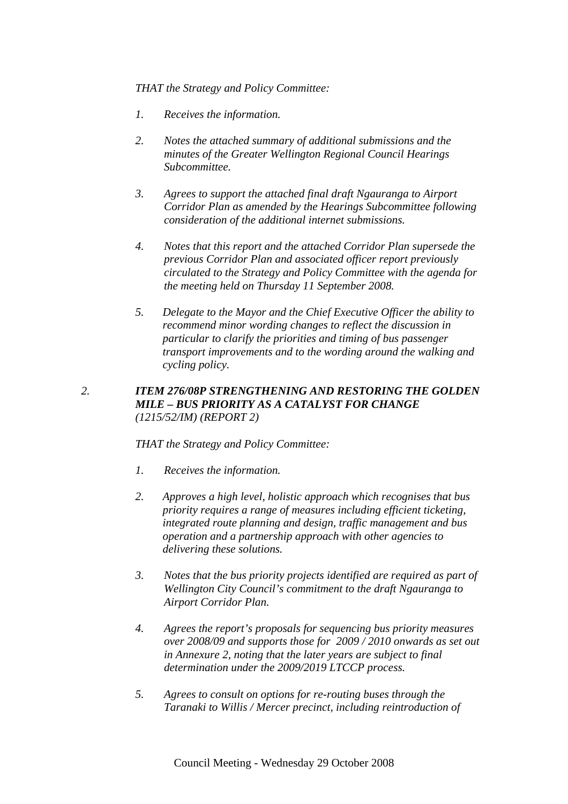*THAT the Strategy and Policy Committee:* 

- *1. Receives the information.*
- *2. Notes the attached summary of additional submissions and the minutes of the Greater Wellington Regional Council Hearings Subcommittee.*
- *3. Agrees to support the attached final draft Ngauranga to Airport Corridor Plan as amended by the Hearings Subcommittee following consideration of the additional internet submissions.*
- *4. Notes that this report and the attached Corridor Plan supersede the previous Corridor Plan and associated officer report previously circulated to the Strategy and Policy Committee with the agenda for the meeting held on Thursday 11 September 2008.*
- *5. Delegate to the Mayor and the Chief Executive Officer the ability to recommend minor wording changes to reflect the discussion in particular to clarify the priorities and timing of bus passenger transport improvements and to the wording around the walking and cycling policy.*

## *2. ITEM 276/08P STRENGTHENING AND RESTORING THE GOLDEN MILE – BUS PRIORITY AS A CATALYST FOR CHANGE (1215/52/IM) (REPORT 2)*

*THAT the Strategy and Policy Committee:* 

- *1. Receives the information.*
- *2. Approves a high level, holistic approach which recognises that bus priority requires a range of measures including efficient ticketing, integrated route planning and design, traffic management and bus operation and a partnership approach with other agencies to delivering these solutions.*
- *3. Notes that the bus priority projects identified are required as part of Wellington City Council's commitment to the draft Ngauranga to Airport Corridor Plan.*
- *4. Agrees the report's proposals for sequencing bus priority measures over 2008/09 and supports those for 2009 / 2010 onwards as set out in Annexure 2, noting that the later years are subject to final determination under the 2009/2019 LTCCP process.*
- *5. Agrees to consult on options for re-routing buses through the Taranaki to Willis / Mercer precinct, including reintroduction of*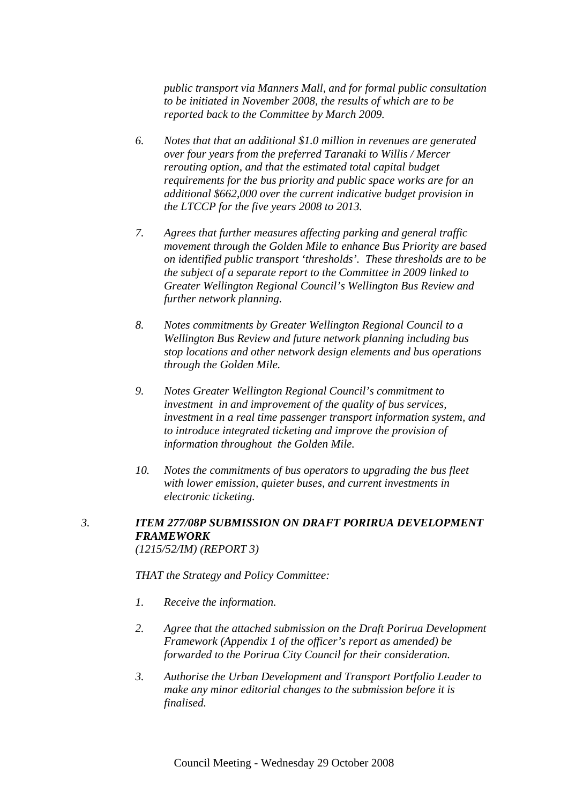*public transport via Manners Mall, and for formal public consultation to be initiated in November 2008, the results of which are to be reported back to the Committee by March 2009.* 

- *6. Notes that that an additional \$1.0 million in revenues are generated over four years from the preferred Taranaki to Willis / Mercer rerouting option, and that the estimated total capital budget requirements for the bus priority and public space works are for an additional \$662,000 over the current indicative budget provision in the LTCCP for the five years 2008 to 2013.*
- *7. Agrees that further measures affecting parking and general traffic movement through the Golden Mile to enhance Bus Priority are based on identified public transport 'thresholds'. These thresholds are to be the subject of a separate report to the Committee in 2009 linked to Greater Wellington Regional Council's Wellington Bus Review and further network planning.*
- *8. Notes commitments by Greater Wellington Regional Council to a Wellington Bus Review and future network planning including bus stop locations and other network design elements and bus operations through the Golden Mile.*
- *9. Notes Greater Wellington Regional Council's commitment to investment in and improvement of the quality of bus services, investment in a real time passenger transport information system, and to introduce integrated ticketing and improve the provision of information throughout the Golden Mile.*
- *10. Notes the commitments of bus operators to upgrading the bus fleet with lower emission, quieter buses, and current investments in electronic ticketing.*
- *3. ITEM 277/08P SUBMISSION ON DRAFT PORIRUA DEVELOPMENT FRAMEWORK (1215/52/IM) (REPORT 3)*

*THAT the Strategy and Policy Committee:* 

- *1. Receive the information.*
- *2. Agree that the attached submission on the Draft Porirua Development Framework (Appendix 1 of the officer's report as amended) be forwarded to the Porirua City Council for their consideration.*
- *3. Authorise the Urban Development and Transport Portfolio Leader to make any minor editorial changes to the submission before it is finalised.*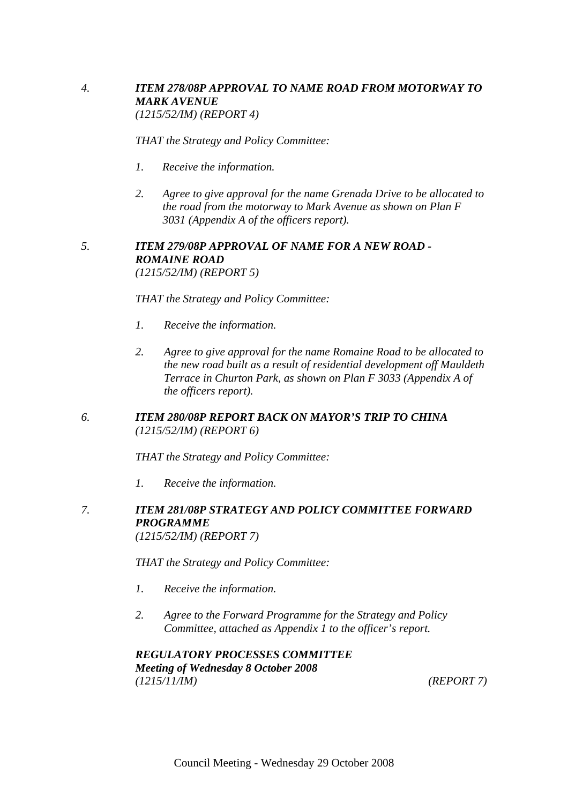## *4. ITEM 278/08P APPROVAL TO NAME ROAD FROM MOTORWAY TO MARK AVENUE (1215/52/IM) (REPORT 4)*

*THAT the Strategy and Policy Committee:* 

- *1. Receive the information.*
- *2. Agree to give approval for the name Grenada Drive to be allocated to the road from the motorway to Mark Avenue as shown on Plan F 3031 (Appendix A of the officers report).*

#### *5. ITEM 279/08P APPROVAL OF NAME FOR A NEW ROAD - ROMAINE ROAD (1215/52/IM) (REPORT 5)*

*THAT the Strategy and Policy Committee:* 

- *1. Receive the information.*
- *2. Agree to give approval for the name Romaine Road to be allocated to the new road built as a result of residential development off Mauldeth Terrace in Churton Park, as shown on Plan F 3033 (Appendix A of the officers report).*

## *6. ITEM 280/08P REPORT BACK ON MAYOR'S TRIP TO CHINA (1215/52/IM) (REPORT 6)*

*THAT the Strategy and Policy Committee:* 

- *1. Receive the information.*
- *7. ITEM 281/08P STRATEGY AND POLICY COMMITTEE FORWARD PROGRAMME (1215/52/IM) (REPORT 7)*

*THAT the Strategy and Policy Committee:* 

- *1. Receive the information.*
- *2. Agree to the Forward Programme for the Strategy and Policy Committee, attached as Appendix 1 to the officer's report.*

*REGULATORY PROCESSES COMMITTEE Meeting of Wednesday 8 October 2008 (1215/11/IM) (REPORT 7)*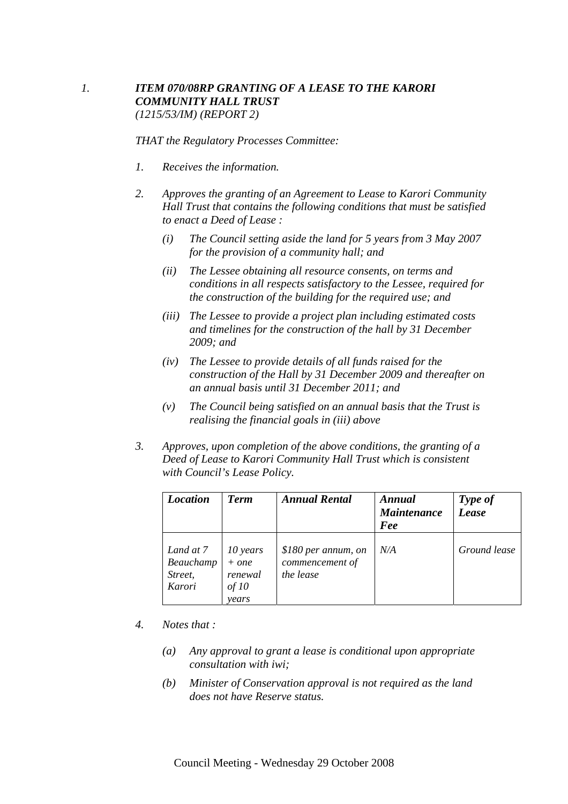## *1. ITEM 070/08RP GRANTING OF A LEASE TO THE KARORI COMMUNITY HALL TRUST (1215/53/IM) (REPORT 2)*

*THAT the Regulatory Processes Committee:* 

- *1. Receives the information.*
- *2. Approves the granting of an Agreement to Lease to Karori Community Hall Trust that contains the following conditions that must be satisfied to enact a Deed of Lease :* 
	- *(i) The Council setting aside the land for 5 years from 3 May 2007 for the provision of a community hall; and*
	- *(ii) The Lessee obtaining all resource consents, on terms and conditions in all respects satisfactory to the Lessee, required for the construction of the building for the required use; and*
	- *(iii) The Lessee to provide a project plan including estimated costs and timelines for the construction of the hall by 31 December 2009; and*
	- *(iv) The Lessee to provide details of all funds raised for the construction of the Hall by 31 December 2009 and thereafter on an annual basis until 31 December 2011; and*
	- *(v) The Council being satisfied on an annual basis that the Trust is realising the financial goals in (iii) above*
- *3. Approves, upon completion of the above conditions, the granting of a Deed of Lease to Karori Community Hall Trust which is consistent with Council's Lease Policy.*

| <b>Location</b>                             | <b>Term</b>                                      | <b>Annual Rental</b>                                | Annual<br><b>Maintenance</b><br>Fee | Type of<br>Lease |
|---------------------------------------------|--------------------------------------------------|-----------------------------------------------------|-------------------------------------|------------------|
| Land at 7<br>Beauchamp<br>Street,<br>Karori | 10 years<br>$+ one$<br>renewal<br>of 10<br>vears | \$180 per annum, on<br>commencement of<br>the lease | N/A                                 | Ground lease     |

- *4. Notes that :* 
	- *(a) Any approval to grant a lease is conditional upon appropriate consultation with iwi;*
	- *(b) Minister of Conservation approval is not required as the land does not have Reserve status.*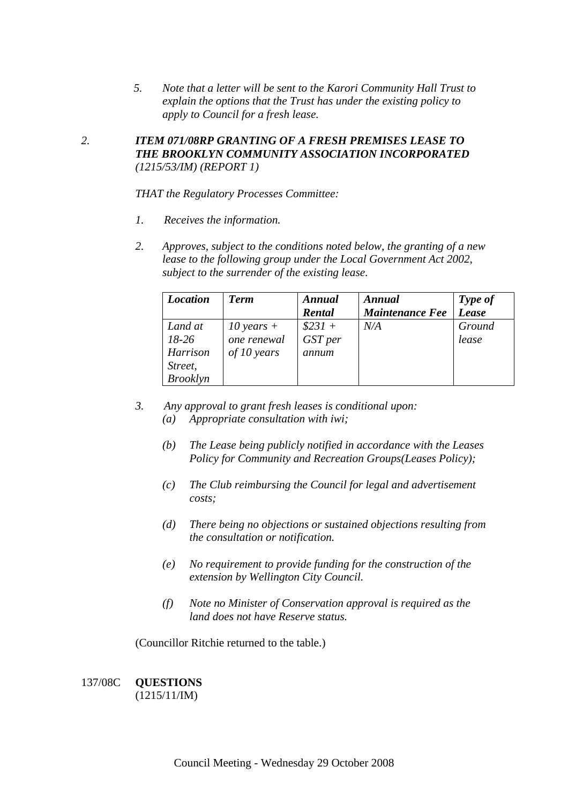*5. Note that a letter will be sent to the Karori Community Hall Trust to explain the options that the Trust has under the existing policy to apply to Council for a fresh lease.* 

## *2. ITEM 071/08RP GRANTING OF A FRESH PREMISES LEASE TO THE BROOKLYN COMMUNITY ASSOCIATION INCORPORATED (1215/53/IM) (REPORT 1)*

*THAT the Regulatory Processes Committee:* 

- *1. Receives the information.*
- *2. Approves, subject to the conditions noted below, the granting of a new lease to the following group under the Local Government Act 2002, subject to the surrender of the existing lease.*

| <b>Location</b>                                              | <b>Term</b>                                | Annual<br>Rental             | Annual<br><b>Maintenance Fee</b> | Type of<br><b>Lease</b> |
|--------------------------------------------------------------|--------------------------------------------|------------------------------|----------------------------------|-------------------------|
| Land at<br>$18-26$<br>Harrison<br>Street,<br><b>Brooklyn</b> | 10 years $+$<br>one renewal<br>of 10 years | $$231 +$<br>GST per<br>annum | N/A                              | Ground<br>lease         |

- *3. Any approval to grant fresh leases is conditional upon: (a) Appropriate consultation with iwi;* 
	- *(b) The Lease being publicly notified in accordance with the Leases Policy for Community and Recreation Groups(Leases Policy);*
	- *(c) The Club reimbursing the Council for legal and advertisement costs;*
	- *(d) There being no objections or sustained objections resulting from the consultation or notification.*
	- *(e) No requirement to provide funding for the construction of the extension by Wellington City Council.*
	- *(f) Note no Minister of Conservation approval is required as the land does not have Reserve status.*

(Councillor Ritchie returned to the table.)

#### 137/08C **QUESTIONS**  (1215/11/IM)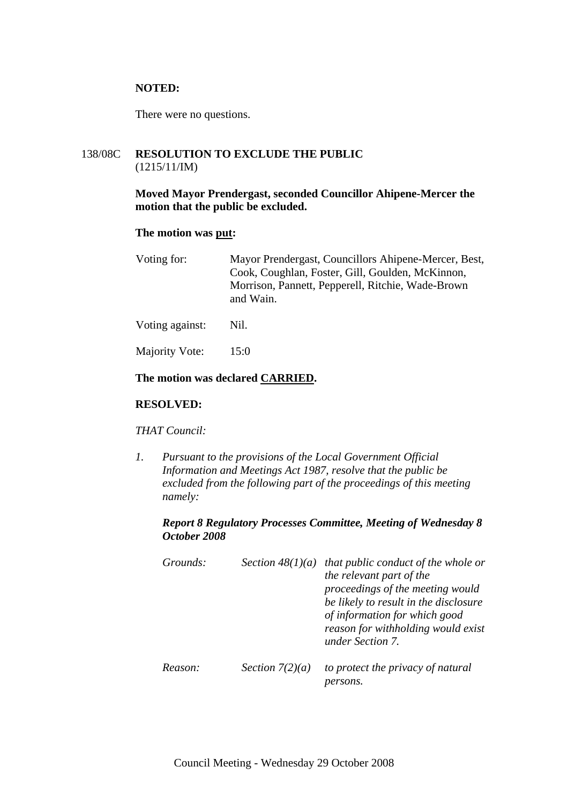#### **NOTED:**

There were no questions.

## 138/08C **RESOLUTION TO EXCLUDE THE PUBLIC**  (1215/11/IM)

#### **Moved Mayor Prendergast, seconded Councillor Ahipene-Mercer the motion that the public be excluded.**

#### **The motion was put:**

| Voting for: | Mayor Prendergast, Councillors Ahipene-Mercer, Best, |
|-------------|------------------------------------------------------|
|             | Cook, Coughlan, Foster, Gill, Goulden, McKinnon,     |
|             | Morrison, Pannett, Pepperell, Ritchie, Wade-Brown    |
|             | and Wain.                                            |
|             |                                                      |

Voting against: Nil.

Majority Vote: 15:0

#### **The motion was declared CARRIED.**

#### **RESOLVED:**

#### *THAT Council:*

*1. Pursuant to the provisions of the Local Government Official Information and Meetings Act 1987, resolve that the public be excluded from the following part of the proceedings of this meeting namely:* 

#### *Report 8 Regulatory Processes Committee, Meeting of Wednesday 8 October 2008*

| Grounds: |                   | Section $48(1)(a)$ that public conduct of the whole or<br>the relevant part of the<br>proceedings of the meeting would<br>be likely to result in the disclosure<br>of information for which good<br>reason for withholding would exist<br>under Section 7. |
|----------|-------------------|------------------------------------------------------------------------------------------------------------------------------------------------------------------------------------------------------------------------------------------------------------|
| Reason:  | Section $7(2)(a)$ | to protect the privacy of natural                                                                                                                                                                                                                          |